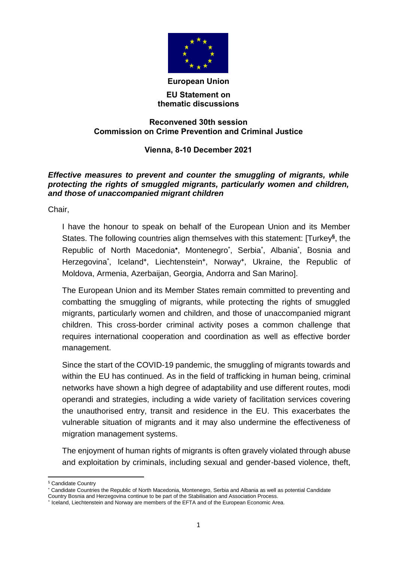

#### **European Union**

### **EU Statement on thematic discussions**

## **Reconvened 30th session Commission on Crime Prevention and Criminal Justice**

# **Vienna, 8-10 December 2021**

# *Effective measures to prevent and counter the smuggling of migrants, while protecting the rights of smuggled migrants, particularly women and children, and those of unaccompanied migrant children*

Chair,

I have the honour to speak on behalf of the European Union and its Member States. The following countries align themselves with this statement: [Turkey**§** , the Republic of North Macedonia\*, Montenegro<sup>\*</sup>, Serbia<sup>\*</sup>, Albania<sup>\*</sup>, Bosnia and Herzegovina\* , Iceland**<sup>+</sup>** , Liechtenstein**<sup>+</sup>** , Norway**<sup>+</sup>** , Ukraine, the Republic of Moldova, Armenia, Azerbaijan, Georgia, Andorra and San Marino].

The European Union and its Member States remain committed to preventing and combatting the smuggling of migrants, while protecting the rights of smuggled migrants, particularly women and children, and those of unaccompanied migrant children. This cross-border criminal activity poses a common challenge that requires international cooperation and coordination as well as effective border management.

Since the start of the COVID-19 pandemic, the smuggling of migrants towards and within the EU has continued. As in the field of trafficking in human being, criminal networks have shown a high degree of adaptability and use different routes, modi operandi and strategies, including a wide variety of facilitation services covering the unauthorised entry, transit and residence in the EU. This exacerbates the vulnerable situation of migrants and it may also undermine the effectiveness of migration management systems.

The enjoyment of human rights of migrants is often gravely violated through abuse and exploitation by criminals, including sexual and gender-based violence, theft,

<sup>1</sup> § Candidate Country

Candidate Countries the Republic of North Macedonia, Montenegro, Serbia and Albania as well as potential Candidate Country Bosnia and Herzegovina continue to be part of the Stabilisation and Association Process.

<sup>+</sup> Iceland, Liechtenstein and Norway are members of the EFTA and of the European Economic Area.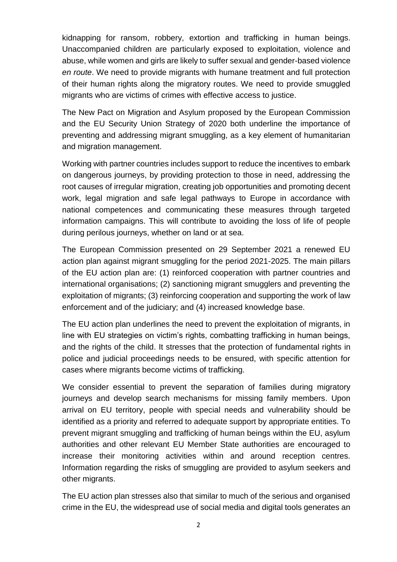kidnapping for ransom, robbery, extortion and trafficking in human beings. Unaccompanied children are particularly exposed to exploitation, violence and abuse, while women and girls are likely to suffer sexual and gender-based violence *en route*. We need to provide migrants with humane treatment and full protection of their human rights along the migratory routes. We need to provide smuggled migrants who are victims of crimes with effective access to justice.

The New Pact on Migration and Asylum proposed by the European Commission and the EU Security Union Strategy of 2020 both underline the importance of preventing and addressing migrant smuggling, as a key element of humanitarian and migration management.

Working with partner countries includes support to reduce the incentives to embark on dangerous journeys, by providing protection to those in need, addressing the root causes of irregular migration, creating job opportunities and promoting decent work, legal migration and safe legal pathways to Europe in accordance with national competences and communicating these measures through targeted information campaigns. This will contribute to avoiding the loss of life of people during perilous journeys, whether on land or at sea.

The European Commission presented on 29 September 2021 a renewed EU action plan against migrant smuggling for the period 2021-2025. The main pillars of the EU action plan are: (1) reinforced cooperation with partner countries and international organisations; (2) sanctioning migrant smugglers and preventing the exploitation of migrants; (3) reinforcing cooperation and supporting the work of law enforcement and of the judiciary; and (4) increased knowledge base.

The EU action plan underlines the need to prevent the exploitation of migrants, in line with EU strategies on victim's rights, combatting trafficking in human beings, and the rights of the child. It stresses that the protection of fundamental rights in police and judicial proceedings needs to be ensured, with specific attention for cases where migrants become victims of trafficking.

We consider essential to prevent the separation of families during migratory journeys and develop search mechanisms for missing family members. Upon arrival on EU territory, people with special needs and vulnerability should be identified as a priority and referred to adequate support by appropriate entities. To prevent migrant smuggling and trafficking of human beings within the EU, asylum authorities and other relevant EU Member State authorities are encouraged to increase their monitoring activities within and around reception centres. Information regarding the risks of smuggling are provided to asylum seekers and other migrants.

The EU action plan stresses also that similar to much of the serious and organised crime in the EU, the widespread use of social media and digital tools generates an